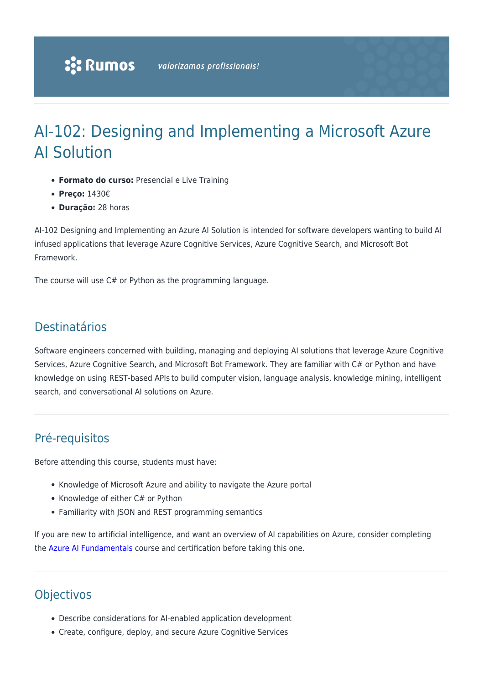# AI-102: Designing and Implementing a Microsoft Azure AI Solution

- **Formato do curso:** Presencial e Live Training
- **Preço:** 1430€
- **Duração:** 28 horas

AI-102 Designing and Implementing an Azure AI Solution is intended for software developers wanting to build AI infused applications that leverage Azure Cognitive Services, Azure Cognitive Search, and Microsoft Bot Framework.

The course will use C# or Python as the programming language.

# Destinatários

Software engineers concerned with building, managing and deploying AI solutions that leverage Azure Cognitive Services, Azure Cognitive Search, and Microsoft Bot Framework. They are familiar with C# or Python and have knowledge on using REST-based APIs to build computer vision, language analysis, knowledge mining, intelligent search, and conversational AI solutions on Azure.

# Pré-requisitos

Before attending this course, students must have:

- Knowledge of Microsoft Azure and ability to navigate the Azure portal
- Knowledge of either C# or Python
- Familiarity with JSON and REST programming semantics

If you are new to artificial intelligence, and want an overview of AI capabilities on Azure, consider completing the **[Azure AI Fundamentals](https://www.rumos.pt/?p=41017)** course and certification before taking this one.

# **Objectivos**

- Describe considerations for AI-enabled application development
- Create, configure, deploy, and secure Azure Cognitive Services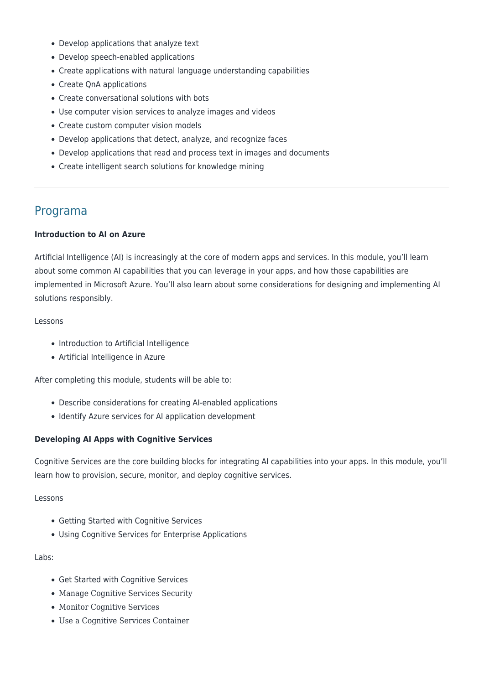- Develop applications that analyze text
- Develop speech-enabled applications
- Create applications with natural language understanding capabilities
- Create QnA applications
- Create conversational solutions with bots
- Use computer vision services to analyze images and videos
- Create custom computer vision models
- Develop applications that detect, analyze, and recognize faces
- Develop applications that read and process text in images and documents
- Create intelligent search solutions for knowledge mining

# Programa

#### **Introduction to AI on Azure**

Artificial Intelligence (AI) is increasingly at the core of modern apps and services. In this module, you'll learn about some common AI capabilities that you can leverage in your apps, and how those capabilities are implemented in Microsoft Azure. You'll also learn about some considerations for designing and implementing AI solutions responsibly.

#### Lessons

- Introduction to Artificial Intelligence
- Artificial Intelligence in Azure

After completing this module, students will be able to:

- Describe considerations for creating AI-enabled applications
- Identify Azure services for AI application development

# **Developing AI Apps with Cognitive Services**

Cognitive Services are the core building blocks for integrating AI capabilities into your apps. In this module, you'll learn how to provision, secure, monitor, and deploy cognitive services.

#### Lessons

- Getting Started with Cognitive Services
- Using Cognitive Services for Enterprise Applications

#### Labs:

- Get Started with Cognitive Services
- Manage Cognitive Services Security
- Monitor Cognitive Services
- Use a Cognitive Services Container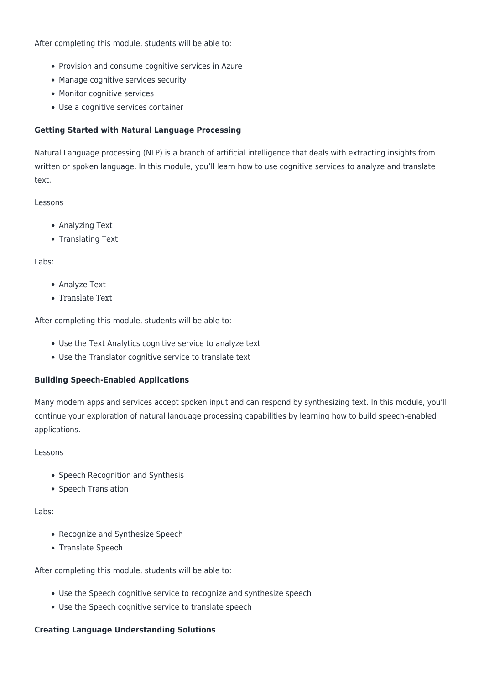After completing this module, students will be able to:

- Provision and consume cognitive services in Azure
- Manage cognitive services security
- Monitor cognitive services
- Use a cognitive services container

# **Getting Started with Natural Language Processing**

Natural Language processing (NLP) is a branch of artificial intelligence that deals with extracting insights from written or spoken language. In this module, you'll learn how to use cognitive services to analyze and translate text.

# Lessons

- Analyzing Text
- Translating Text

# Labs:

- Analyze Text
- Translate Text

After completing this module, students will be able to:

- Use the Text Analytics cognitive service to analyze text
- Use the Translator cognitive service to translate text

# **Building Speech-Enabled Applications**

Many modern apps and services accept spoken input and can respond by synthesizing text. In this module, you'll continue your exploration of natural language processing capabilities by learning how to build speech-enabled applications.

# Lessons

- Speech Recognition and Synthesis
- Speech Translation

# Labs:

- Recognize and Synthesize Speech
- Translate Speech

After completing this module, students will be able to:

- Use the Speech cognitive service to recognize and synthesize speech
- Use the Speech cognitive service to translate speech

# **Creating Language Understanding Solutions**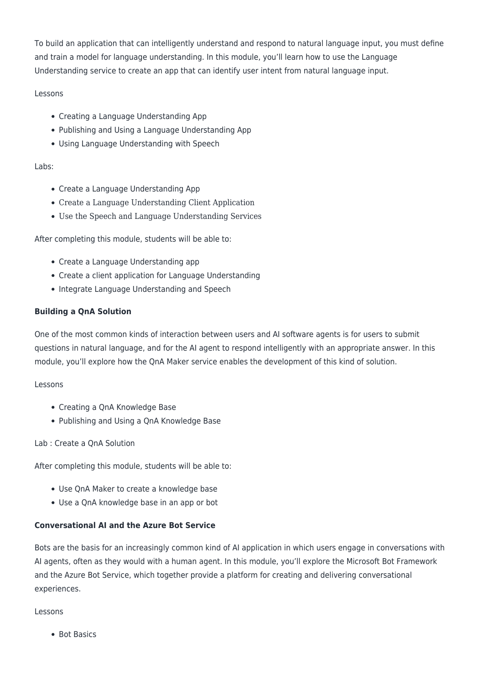To build an application that can intelligently understand and respond to natural language input, you must define and train a model for language understanding. In this module, you'll learn how to use the Language Understanding service to create an app that can identify user intent from natural language input.

# Lessons

- Creating a Language Understanding App
- Publishing and Using a Language Understanding App
- Using Language Understanding with Speech

# Labs:

- Create a Language Understanding App
- Create a Language Understanding Client Application
- Use the Speech and Language Understanding Services

After completing this module, students will be able to:

- Create a Language Understanding app
- Create a client application for Language Understanding
- Integrate Language Understanding and Speech

# **Building a QnA Solution**

One of the most common kinds of interaction between users and AI software agents is for users to submit questions in natural language, and for the AI agent to respond intelligently with an appropriate answer. In this module, you'll explore how the QnA Maker service enables the development of this kind of solution.

# Lessons

- Creating a QnA Knowledge Base
- Publishing and Using a QnA Knowledge Base

# Lab : Create a QnA Solution

After completing this module, students will be able to:

- Use QnA Maker to create a knowledge base
- Use a QnA knowledge base in an app or bot

# **Conversational AI and the Azure Bot Service**

Bots are the basis for an increasingly common kind of AI application in which users engage in conversations with AI agents, often as they would with a human agent. In this module, you'll explore the Microsoft Bot Framework and the Azure Bot Service, which together provide a platform for creating and delivering conversational experiences.

# Lessons

• Bot Basics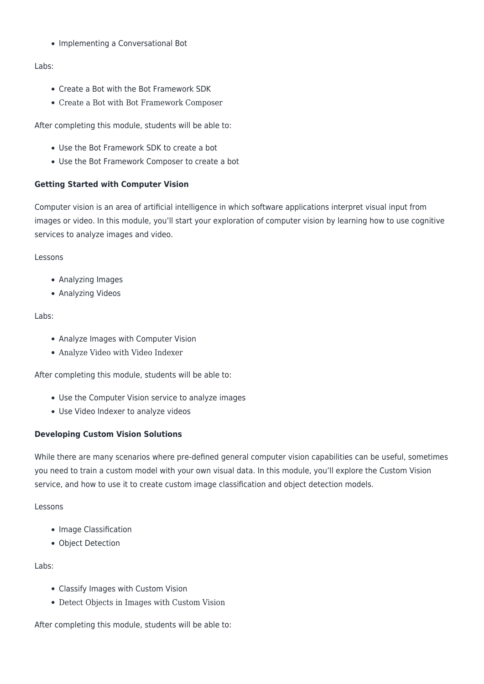• Implementing a Conversational Bot

# Labs:

- Create a Bot with the Bot Framework SDK
- Create a Bot with Bot Framework Composer

After completing this module, students will be able to:

- Use the Bot Framework SDK to create a bot
- Use the Bot Framework Composer to create a bot

# **Getting Started with Computer Vision**

Computer vision is an area of artificial intelligence in which software applications interpret visual input from images or video. In this module, you'll start your exploration of computer vision by learning how to use cognitive services to analyze images and video.

Lessons

- Analyzing Images
- Analyzing Videos

#### Labs:

- Analyze Images with Computer Vision
- Analyze Video with Video Indexer

After completing this module, students will be able to:

- Use the Computer Vision service to analyze images
- Use Video Indexer to analyze videos

# **Developing Custom Vision Solutions**

While there are many scenarios where pre-defined general computer vision capabilities can be useful, sometimes you need to train a custom model with your own visual data. In this module, you'll explore the Custom Vision service, and how to use it to create custom image classification and object detection models.

#### Lessons

- Image Classification
- Object Detection

#### Labs:

- Classify Images with Custom Vision
- Detect Objects in Images with Custom Vision

After completing this module, students will be able to: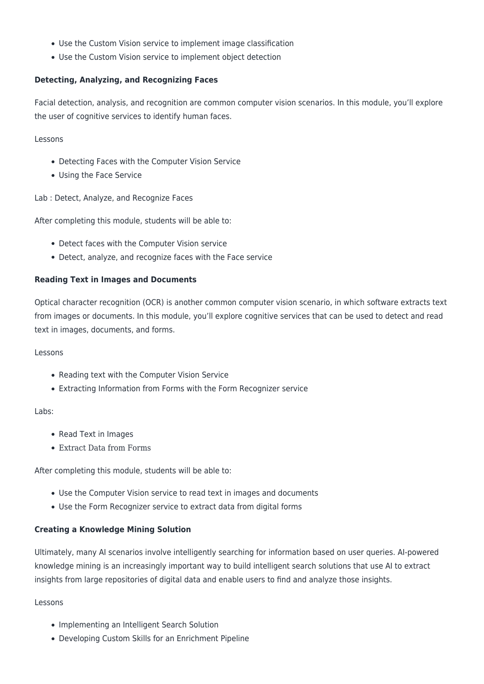- Use the Custom Vision service to implement image classification
- Use the Custom Vision service to implement object detection

# **Detecting, Analyzing, and Recognizing Faces**

Facial detection, analysis, and recognition are common computer vision scenarios. In this module, you'll explore the user of cognitive services to identify human faces.

Lessons

- Detecting Faces with the Computer Vision Service
- Using the Face Service

Lab : Detect, Analyze, and Recognize Faces

After completing this module, students will be able to:

- Detect faces with the Computer Vision service
- Detect, analyze, and recognize faces with the Face service

#### **Reading Text in Images and Documents**

Optical character recognition (OCR) is another common computer vision scenario, in which software extracts text from images or documents. In this module, you'll explore cognitive services that can be used to detect and read text in images, documents, and forms.

#### Lessons

- Reading text with the Computer Vision Service
- Extracting Information from Forms with the Form Recognizer service

#### Labs:

- Read Text in Images
- Extract Data from Forms

After completing this module, students will be able to:

- Use the Computer Vision service to read text in images and documents
- Use the Form Recognizer service to extract data from digital forms

#### **Creating a Knowledge Mining Solution**

Ultimately, many AI scenarios involve intelligently searching for information based on user queries. AI-powered knowledge mining is an increasingly important way to build intelligent search solutions that use AI to extract insights from large repositories of digital data and enable users to find and analyze those insights.

#### Lessons

- Implementing an Intelligent Search Solution
- Developing Custom Skills for an Enrichment Pipeline